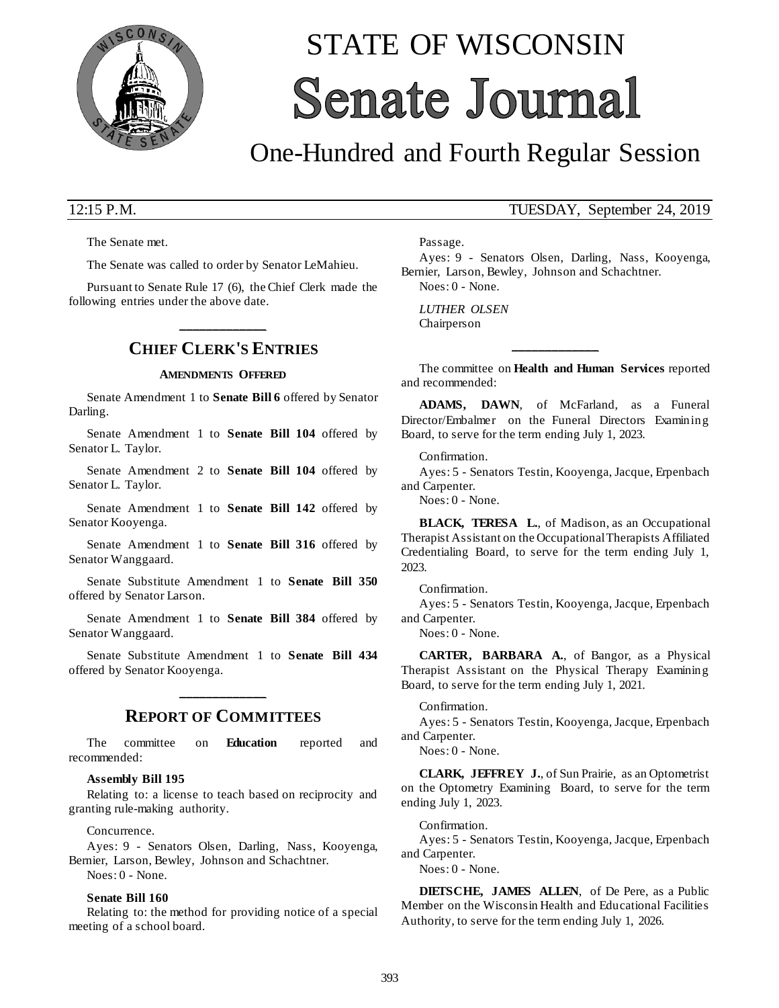

# STATE OF WISCONSIN **Senate Journal**

# One-Hundred and Fourth Regular Session

The Senate met.

The Senate was called to order by Senator LeMahieu.

Pursuant to Senate Rule 17 (6), the Chief Clerk made the following entries under the above date.

# **\_\_\_\_\_\_\_\_\_\_\_\_\_ CHIEF CLERK'S ENTRIES**

#### **AMENDMENTS OFFERED**

Senate Amendment 1 to **Senate Bill 6** offered by Senator Darling.

Senate Amendment 1 to **Senate Bill 104** offered by Senator L. Taylor.

Senate Amendment 2 to **Senate Bill 104** offered by Senator L. Taylor.

Senate Amendment 1 to **Senate Bill 142** offered by Senator Kooyenga.

Senate Amendment 1 to **Senate Bill 316** offered by Senator Wanggaard.

Senate Substitute Amendment 1 to **Senate Bill 350** offered by Senator Larson.

Senate Amendment 1 to **Senate Bill 384** offered by Senator Wanggaard.

Senate Substitute Amendment 1 to **Senate Bill 434** offered by Senator Kooyenga.

# **\_\_\_\_\_\_\_\_\_\_\_\_\_ REPORT OF COMMITTEES**

The committee on **Education** reported and recommended:

#### **Assembly Bill 195**

Relating to: a license to teach based on reciprocity and granting rule-making authority.

Concurrence.

Ayes: 9 - Senators Olsen, Darling, Nass, Kooyenga, Bernier, Larson, Bewley, Johnson and Schachtner. Noes: 0 - None.

### **Senate Bill 160**

Relating to: the method for providing notice of a special meeting of a school board.

## 12:15 P.M. TUESDAY, September 24, 2019

Passage.

Ayes: 9 - Senators Olsen, Darling, Nass, Kooyenga, Bernier, Larson, Bewley, Johnson and Schachtner. Noes: 0 - None.

*LUTHER OLSEN* Chairperson

The committee on **Health and Human Services** reported and recommended:

**\_\_\_\_\_\_\_\_\_\_\_\_\_**

**ADAMS, DAWN**, of McFarland, as a Funeral Director/Embalmer on the Funeral Directors Examining Board, to serve for the term ending July 1, 2023.

Confirmation.

Ayes: 5 - Senators Testin, Kooyenga, Jacque, Erpenbach and Carpenter.

Noes: 0 - None.

**BLACK, TERESA L.**, of Madison, as an Occupational Therapist Assistant on the Occupational Therapists Affiliated Credentialing Board, to serve for the term ending July 1, 2023.

Confirmation.

Ayes: 5 - Senators Testin, Kooyenga, Jacque, Erpenbach and Carpenter.

Noes: 0 - None.

**CARTER, BARBARA A.**, of Bangor, as a Physical Therapist Assistant on the Physical Therapy Examining Board, to serve for the term ending July 1, 2021.

#### Confirmation.

Ayes: 5 - Senators Testin, Kooyenga, Jacque, Erpenbach and Carpenter.

Noes: 0 - None.

**CLARK, JEFFREY J.**, of Sun Prairie, as an Optometrist on the Optometry Examining Board, to serve for the term ending July 1, 2023.

#### Confirmation.

Ayes: 5 - Senators Testin, Kooyenga, Jacque, Erpenbach and Carpenter.

Noes: 0 - None.

**DIETSCHE, JAMES ALLEN**, of De Pere, as a Public Member on the Wisconsin Health and Educational Facilities Authority, to serve for the term ending July 1, 2026.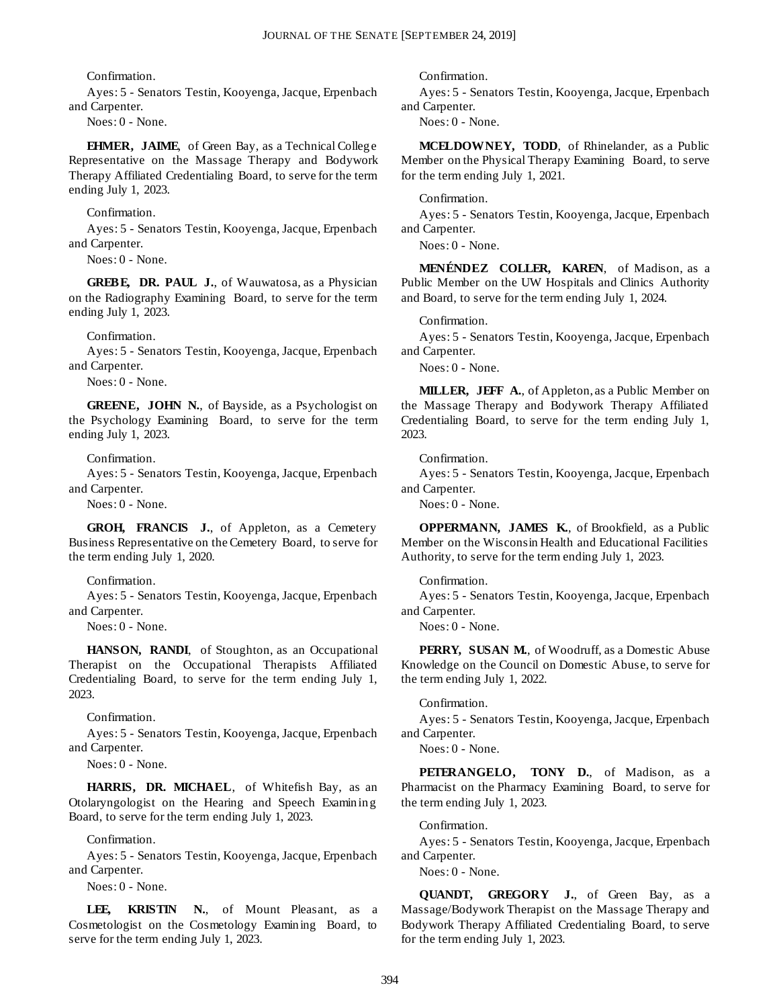Confirmation.

Ayes: 5 - Senators Testin, Kooyenga, Jacque, Erpenbach and Carpenter.

Noes: 0 - None.

**EHMER, JAIME**, of Green Bay, as a Technical College Representative on the Massage Therapy and Bodywork Therapy Affiliated Credentialing Board, to serve for the term ending July 1, 2023.

#### Confirmation.

Ayes: 5 - Senators Testin, Kooyenga, Jacque, Erpenbach and Carpenter.

Noes: 0 - None.

**GREBE, DR. PAUL J.**, of Wauwatosa, as a Physician on the Radiography Examining Board, to serve for the term ending July 1, 2023.

Confirmation.

Ayes: 5 - Senators Testin, Kooyenga, Jacque, Erpenbach and Carpenter.

Noes: 0 - None.

**GREENE, JOHN N.**, of Bayside, as a Psychologist on the Psychology Examining Board, to serve for the term ending July 1, 2023.

Confirmation.

Ayes: 5 - Senators Testin, Kooyenga, Jacque, Erpenbach and Carpenter.

Noes: 0 - None.

**GROH, FRANCIS J.**, of Appleton, as a Cemetery Business Representative on the Cemetery Board, to serve for the term ending July 1, 2020.

#### Confirmation.

Ayes: 5 - Senators Testin, Kooyenga, Jacque, Erpenbach and Carpenter.

Noes: 0 - None.

**HANSON, RANDI**, of Stoughton, as an Occupational Therapist on the Occupational Therapists Affiliated Credentialing Board, to serve for the term ending July 1, 2023.

Confirmation.

Ayes: 5 - Senators Testin, Kooyenga, Jacque, Erpenbach and Carpenter.

Noes: 0 - None.

**HARRIS, DR. MICHAEL**, of Whitefish Bay, as an Otolaryngologist on the Hearing and Speech Examining Board, to serve for the term ending July 1, 2023.

Confirmation.

Ayes: 5 - Senators Testin, Kooyenga, Jacque, Erpenbach and Carpenter.

Noes: 0 - None.

LEE, KRISTIN N., of Mount Pleasant, as a Cosmetologist on the Cosmetology Examining Board, to serve for the term ending July 1, 2023.

Confirmation.

Ayes: 5 - Senators Testin, Kooyenga, Jacque, Erpenbach and Carpenter.

Noes: 0 - None.

**MCELDOWNEY, TODD**, of Rhinelander, as a Public Member on the Physical Therapy Examining Board, to serve for the term ending July 1, 2021.

#### Confirmation.

Ayes: 5 - Senators Testin, Kooyenga, Jacque, Erpenbach and Carpenter.

Noes: 0 - None.

**MENÉNDEZ COLLER, KAREN**, of Madison, as a Public Member on the UW Hospitals and Clinics Authority and Board, to serve for the term ending July 1, 2024.

#### Confirmation.

Ayes: 5 - Senators Testin, Kooyenga, Jacque, Erpenbach and Carpenter.

Noes: 0 - None.

**MILLER, JEFF A.**, of Appleton, as a Public Member on the Massage Therapy and Bodywork Therapy Affiliated Credentialing Board, to serve for the term ending July 1, 2023.

Confirmation.

Ayes: 5 - Senators Testin, Kooyenga, Jacque, Erpenbach and Carpenter.

Noes: 0 - None.

**OPPERMANN, JAMES K.**, of Brookfield, as a Public Member on the Wisconsin Health and Educational Facilities Authority, to serve for the term ending July 1, 2023.

#### Confirmation.

Ayes: 5 - Senators Testin, Kooyenga, Jacque, Erpenbach and Carpenter.

Noes: 0 - None.

**PERRY, SUSAN M.**, of Woodruff, as a Domestic Abuse Knowledge on the Council on Domestic Abuse, to serve for the term ending July 1, 2022.

#### Confirmation.

Ayes: 5 - Senators Testin, Kooyenga, Jacque, Erpenbach and Carpenter.

Noes: 0 - None.

**PETERANGELO, TONY D.**, of Madison, as a Pharmacist on the Pharmacy Examining Board, to serve for the term ending July 1, 2023.

#### Confirmation.

Ayes: 5 - Senators Testin, Kooyenga, Jacque, Erpenbach and Carpenter.

Noes: 0 - None.

**QUANDT, GREGORY J.**, of Green Bay, as a Massage/Bodywork Therapist on the Massage Therapy and Bodywork Therapy Affiliated Credentialing Board, to serve for the term ending July 1, 2023.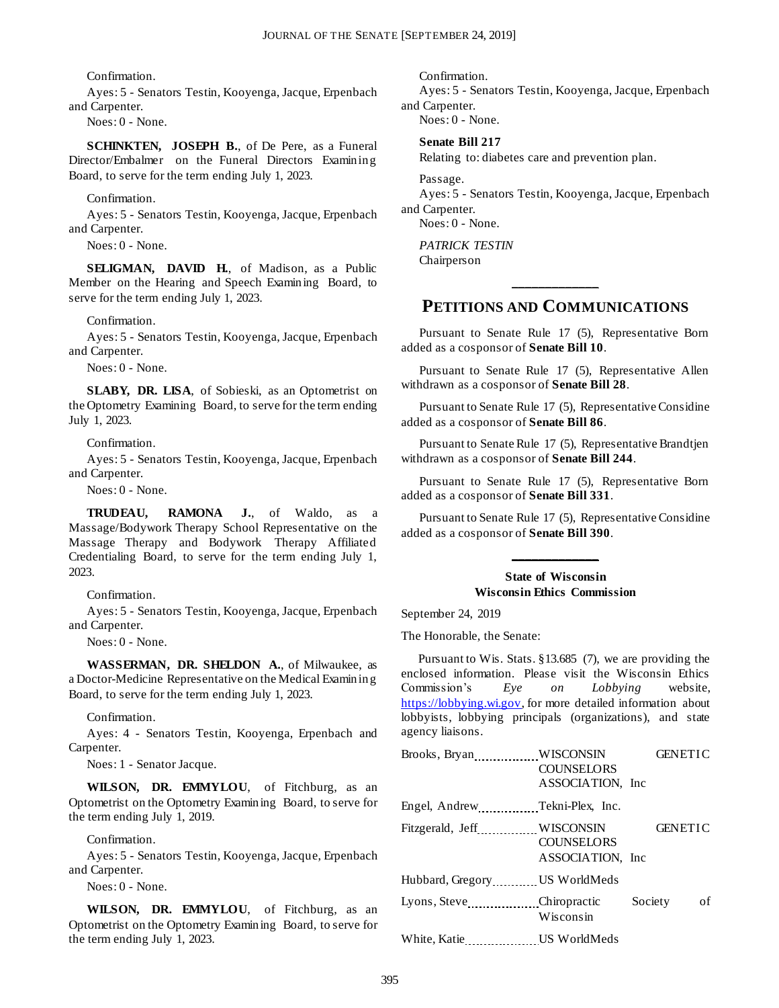Confirmation.

Ayes: 5 - Senators Testin, Kooyenga, Jacque, Erpenbach and Carpenter.

Noes: 0 - None.

**SCHINKTEN, JOSEPH B.**, of De Pere, as a Funeral Director/Embalmer on the Funeral Directors Examining Board, to serve for the term ending July 1, 2023.

Confirmation.

Ayes: 5 - Senators Testin, Kooyenga, Jacque, Erpenbach and Carpenter.

Noes: 0 - None.

**SELIGMAN, DAVID H.**, of Madison, as a Public Member on the Hearing and Speech Examining Board, to serve for the term ending July 1, 2023.

Confirmation.

Ayes: 5 - Senators Testin, Kooyenga, Jacque, Erpenbach and Carpenter.

Noes: 0 - None.

**SLABY, DR. LISA**, of Sobieski, as an Optometrist on the Optometry Examining Board, to serve for the term ending July 1, 2023.

Confirmation.

Ayes: 5 - Senators Testin, Kooyenga, Jacque, Erpenbach and Carpenter.

Noes: 0 - None.

**TRUDEAU, RAMONA J.**, of Waldo, as a Massage/Bodywork Therapy School Representative on the Massage Therapy and Bodywork Therapy Affiliated Credentialing Board, to serve for the term ending July 1, 2023.

Confirmation.

Ayes: 5 - Senators Testin, Kooyenga, Jacque, Erpenbach and Carpenter.

Noes: 0 - None.

**WASSERMAN, DR. SHELDON A.**, of Milwaukee, as a Doctor-Medicine Representative on the Medical Examining Board, to serve for the term ending July 1, 2023.

Confirmation.

Ayes: 4 - Senators Testin, Kooyenga, Erpenbach and Carpenter.

Noes: 1 - Senator Jacque.

**WILSON, DR. EMMYLOU**, of Fitchburg, as an Optometrist on the Optometry Examining Board, to serve for the term ending July 1, 2019.

Confirmation.

Ayes: 5 - Senators Testin, Kooyenga, Jacque, Erpenbach and Carpenter.

Noes: 0 - None.

**WILSON, DR. EMMYLOU**, of Fitchburg, as an Optometrist on the Optometry Examining Board, to serve for the term ending July 1, 2023.

Confirmation.

Ayes: 5 - Senators Testin, Kooyenga, Jacque, Erpenbach and Carpenter.

Noes: 0 - None.

#### **Senate Bill 217**

Relating to: diabetes care and prevention plan.

Passage.

Ayes: 5 - Senators Testin, Kooyenga, Jacque, Erpenbach and Carpenter.

Noes: 0 - None.

*PATRICK TESTIN* Chairperson

# **\_\_\_\_\_\_\_\_\_\_\_\_\_ PETITIONS AND COMMUNICATIONS**

Pursuant to Senate Rule 17 (5), Representative Born added as a cosponsor of **Senate Bill 10**.

Pursuant to Senate Rule 17 (5), Representative Allen withdrawn as a cosponsor of **Senate Bill 28**.

Pursuant to Senate Rule 17 (5), Representative Considine added as a cosponsor of **Senate Bill 86**.

Pursuant to Senate Rule 17 (5), Representative Brandtjen withdrawn as a cosponsor of **Senate Bill 244**.

Pursuant to Senate Rule 17 (5), Representative Born added as a cosponsor of **Senate Bill 331**.

Pursuant to Senate Rule 17 (5), Representative Considine added as a cosponsor of **Senate Bill 390**.

#### **State of Wisconsin Wisconsin Ethics Commission**

**\_\_\_\_\_\_\_\_\_\_\_\_\_**

September 24, 2019

The Honorable, the Senate:

Pursuant to Wis. Stats. §13.685 (7), we are providing the enclosed information. Please visit the Wisconsin Ethics Commission's *Eye on Lobbying* website, [https://lobbying.wi.gov,](https://lobbying.wi.gov/) for more detailed information about lobbyists, lobbying principals (organizations), and state agency liaisons.

| Brooks, Bryan WISCONSIN           | <b>COUNSELORS</b> | <b>GENETIC</b> |
|-----------------------------------|-------------------|----------------|
|                                   | ASSOCIATION, Inc. |                |
| Engel, Andrew Tekni-Plex, Inc.    |                   |                |
| Fitzgerald, Jeff WISCONSIN        |                   | <b>GENETIC</b> |
|                                   | <b>COUNSELORS</b> |                |
|                                   | ASSOCIATION, Inc. |                |
| Hubbard, Gregory US WorldMeds     |                   |                |
| Lyons, Steve Chiropractic Society |                   | of             |
|                                   | Wisconsin         |                |
| White, Katie                      | US WorldMeds      |                |